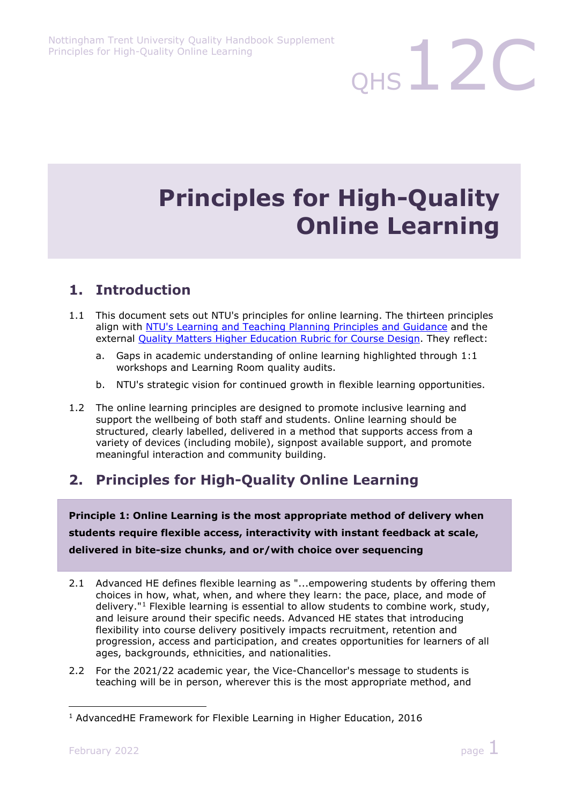# **Principles for High-Quality Online Learning**

 $QHS$  12C

### **1. Introduction**

- 1.1 This document sets out NTU's principles for online learning. The thirteen principles align with [NTU's Learning and Teaching Planning Principles and Guidance](https://www.ntu.ac.uk/myhub/policies-and-guidance/l/learning-and-teaching-planning-principles) and the external [Quality Matters Higher Education Rubric for Course Design.](https://www.qualitymatters.org/sites/default/files/PDFs/QM-Higher-Ed-Sixth-Edition-Specific-Review-Standards-Accessible.pdf) They reflect:
	- a. Gaps in academic understanding of online learning highlighted through 1:1 workshops and Learning Room quality audits.
	- b. NTU's strategic vision for continued growth in flexible learning opportunities.
- 1.2 The online learning principles are designed to promote inclusive learning and support the wellbeing of both staff and students. Online learning should be structured, clearly labelled, delivered in a method that supports access from a variety of devices (including mobile), signpost available support, and promote meaningful interaction and community building.

# **2. Principles for High-Quality Online Learning**

**Principle 1: Online Learning is the most appropriate method of delivery when students require flexible access, interactivity with instant feedback at scale, delivered in bite-size chunks, and or/with choice over sequencing**

- 2.1 Advanced HE defines flexible learning as "...empowering students by offering them choices in how, what, when, and where they learn: the pace, place, and mode of delivery."[1](#page-0-0) Flexible learning is essential to allow students to combine work, study, and leisure around their specific needs. Advanced HE states that introducing flexibility into course delivery positively impacts recruitment, retention and progression, access and participation, and creates opportunities for learners of all ages, backgrounds, ethnicities, and nationalities.
- 2.2 For the 2021/22 academic year, the Vice-Chancellor's message to students is teaching will be in person, wherever this is the most appropriate method, and

<span id="page-0-0"></span><sup>1</sup> AdvancedHE Framework for Flexible Learning in Higher Education, 2016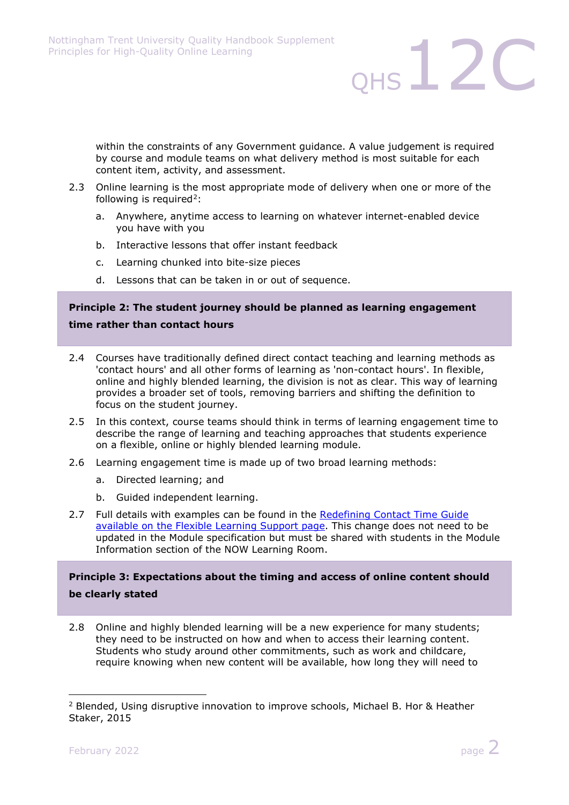within the constraints of any Government guidance. A value judgement is required by course and module teams on what delivery method is most suitable for each content item, activity, and assessment.

 $QHS$   $12C$ 

- 2.3 Online learning is the most appropriate mode of delivery when one or more of the following is required<sup>2</sup>:
	- a. Anywhere, anytime access to learning on whatever internet-enabled device you have with you
	- b. Interactive lessons that offer instant feedback
	- c. Learning chunked into bite-size pieces
	- d. Lessons that can be taken in or out of sequence.

#### **Principle 2: The student journey should be planned as learning engagement time rather than contact hours**

- 2.4 Courses have traditionally defined direct contact teaching and learning methods as 'contact hours' and all other forms of learning as 'non-contact hours'. In flexible, online and highly blended learning, the division is not as clear. This way of learning provides a broader set of tools, removing barriers and shifting the definition to focus on the student journey.
- 2.5 In this context, course teams should think in terms of learning engagement time to describe the range of learning and teaching approaches that students experience on a flexible, online or highly blended learning module.
- 2.6 Learning engagement time is made up of two broad learning methods:
	- a. Directed learning; and
	- b. Guided independent learning.
- 2.7 Full details with examples can be found in the [Redefining Contact Time Guide](https://www.ntu.ac.uk/about-us/academic-development-and-quality/flexible-learning/support)  [available on the Flexible Learning Support page.](https://www.ntu.ac.uk/about-us/academic-development-and-quality/flexible-learning/support) This change does not need to be updated in the Module specification but must be shared with students in the Module Information section of the NOW Learning Room.

#### **Principle 3: Expectations about the timing and access of online content should be clearly stated**

2.8 Online and highly blended learning will be a new experience for many students; they need to be instructed on how and when to access their learning content. Students who study around other commitments, such as work and childcare, require knowing when new content will be available, how long they will need to

<span id="page-1-0"></span><sup>2</sup> Blended, Using disruptive innovation to improve schools, Michael B. Hor & Heather Staker, 2015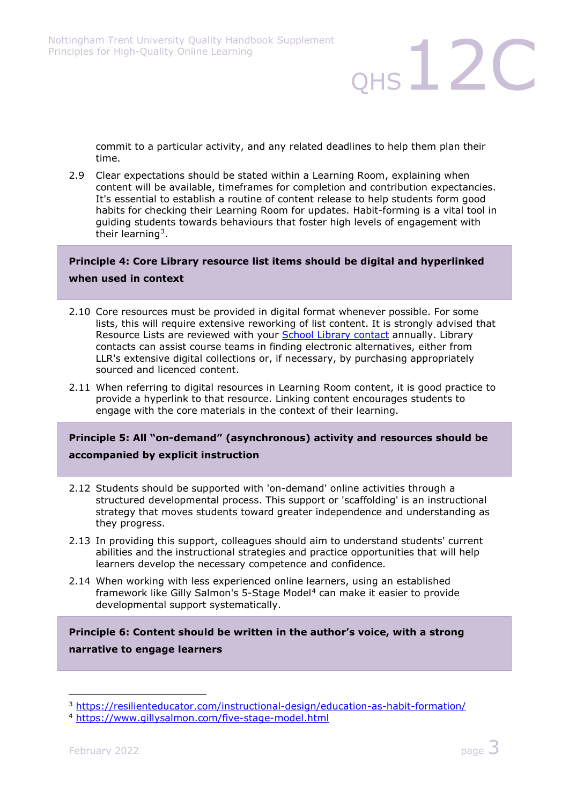commit to a particular activity, and any related deadlines to help them plan their time.

 $QHS$   $12C$ 

2.9 Clear expectations should be stated within a Learning Room, explaining when content will be available, timeframes for completion and contribution expectancies. It's essential to establish a routine of content release to help students form good habits for checking their Learning Room for updates. Habit-forming is a vital tool in guiding students towards behaviours that foster high levels of engagement with their learning<sup>[3](#page-2-0)</sup>.

#### **Principle 4: Core Library resource list items should be digital and hyperlinked when used in context**

- 2.10 Core resources must be provided in digital format whenever possible. For some lists, this will require extensive reworking of list content. It is strongly advised that Resource Lists are reviewed with your [School Library contact](https://www.ntu.ac.uk/m/library/supporting-learning-and-teaching/learning-and-teaching-team-contacts) annually. Library contacts can assist course teams in finding electronic alternatives, either from LLR's extensive digital collections or, if necessary, by purchasing appropriately sourced and licenced content.
- 2.11 When referring to digital resources in Learning Room content, it is good practice to provide a hyperlink to that resource. Linking content encourages students to engage with the core materials in the context of their learning.

#### **Principle 5: All "on-demand" (asynchronous) activity and resources should be accompanied by explicit instruction**

- 2.12 Students should be supported with 'on-demand' online activities through a structured developmental process. This support or 'scaffolding' is an instructional strategy that moves students toward greater independence and understanding as they progress.
- 2.13 In providing this support, colleagues should aim to understand students' current abilities and the instructional strategies and practice opportunities that will help learners develop the necessary competence and confidence.
- 2.14 When working with less experienced online learners, using an established framework like Gilly Salmon's 5-Stage Model<sup>[4](#page-2-1)</sup> can make it easier to provide developmental support systematically.

#### **Principle 6: Content should be written in the author's voice, with a strong narrative to engage learners**

<span id="page-2-0"></span><sup>3</sup> <https://resilienteducator.com/instructional-design/education-as-habit-formation/>

<span id="page-2-1"></span><sup>4</sup> <https://www.gillysalmon.com/five-stage-model.html>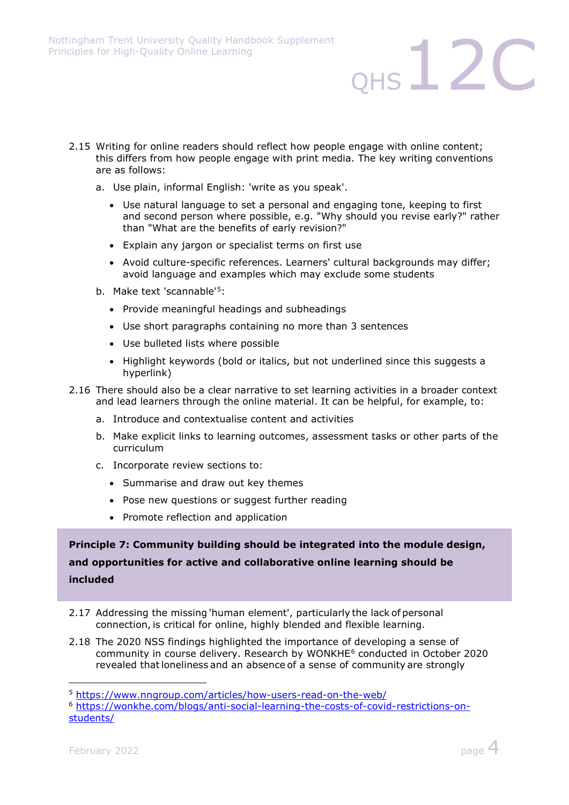- 2.15 Writing for online readers should reflect how people engage with online content; this differs from how people engage with print media. The key writing conventions are as follows:
	- a. Use plain, informal English: 'write as you speak'.
		- Use natural language to set a personal and engaging tone, keeping to first and second person where possible, e.g. "Why should you revise early?" rather than "What are the benefits of early revision?"

 $QHS$   $12C$ 

- Explain any jargon or specialist terms on first use
- Avoid culture-specific references. Learners' cultural backgrounds may differ; avoid language and examples which may exclude some students
- b. Make text 'scannable'<sup>[5](#page-3-0)</sup>:
	- Provide meaningful headings and subheadings
	- Use short paragraphs containing no more than 3 sentences
	- Use bulleted lists where possible
	- Highlight keywords (bold or italics, but not underlined since this suggests a hyperlink)
- 2.16 There should also be a clear narrative to set learning activities in a broader context and lead learners through the online material. It can be helpful, for example, to:
	- a. Introduce and contextualise content and activities
	- b. Make explicit links to learning outcomes, assessment tasks or other parts of the curriculum
	- c. Incorporate review sections to:
		- Summarise and draw out key themes
		- Pose new questions or suggest further reading
		- Promote reflection and application

**Principle 7: Community building should be integrated into the module design, and opportunities for active and collaborative online learning should be included**

- 2.17 Addressing the missing 'human element', particularly the lack of personal connection, is critical for online, highly blended and flexible learning.
- 2.18 The 2020 NSS findings highlighted the importance of developing a sense of community in course delivery. Research by WONKHE[6](#page-3-1) conducted in October 2020 revealed that loneliness and an absence of a sense of community are strongly



<span id="page-3-0"></span><sup>5</sup> <https://www.nngroup.com/articles/how-users-read-on-the-web/>

<span id="page-3-1"></span><sup>6</sup> [https://wonkhe.com/blogs/anti-social-learning-the-costs-of-covid-restrictions-on](https://wonkhe.com/blogs/anti-social-learning-the-costs-of-covid-restrictions-on-students/)[students/](https://wonkhe.com/blogs/anti-social-learning-the-costs-of-covid-restrictions-on-students/)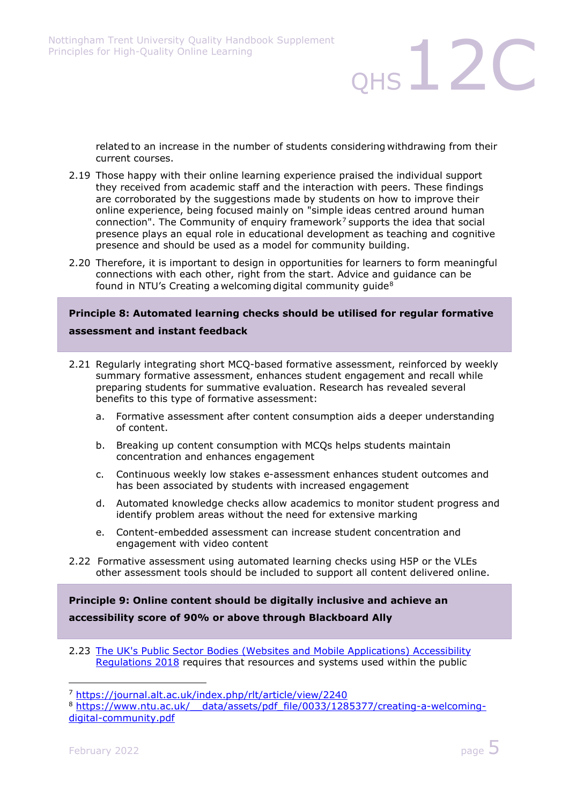related to an increase in the number of students considering withdrawing from their current courses. 

 $QHS$   $12C$ 

- 2.19 Those happy with their online learning experience praised the individual support they received from academic staff and the interaction with peers. These findings are corroborated by the suggestions made by students on how to improve their online experience, being focused mainly on "simple ideas centred around human connection". The Community of enquiry framework<sup>[7](#page-4-0)</sup> supports the idea that social presence plays an equal role in educational development as teaching and cognitive presence and should be used as a model for community building.
- 2.20 Therefore, it is important to design in opportunities for learners to form meaningful connections with each other, right from the start. Advice and guidance can be found in NTU's Creating a welcoming digital community guide<sup>[8](#page-4-1)</sup>

#### **Principle 8: Automated learning checks should be utilised for regular formative assessment and instant feedback**

- 2.21 Regularly integrating short MCQ-based formative assessment, reinforced by weekly summary formative assessment, enhances student engagement and recall while preparing students for summative evaluation. Research has revealed several benefits to this type of formative assessment:
	- a. Formative assessment after content consumption aids a deeper understanding of content.
	- b. Breaking up content consumption with MCQs helps students maintain concentration and enhances engagement
	- c. Continuous weekly low stakes e-assessment enhances student outcomes and has been associated by students with increased engagement
	- d. Automated knowledge checks allow academics to monitor student progress and identify problem areas without the need for extensive marking
	- e. Content-embedded assessment can increase student concentration and engagement with video content
- 2.22 Formative assessment using automated learning checks using H5P or the VLEs other assessment tools should be included to support all content delivered online.

**Principle 9: Online content should be digitally inclusive and achieve an accessibility score of 90% or above through Blackboard Ally**

2.23 [The UK's Public Sector Bodies \(Websites and Mobile Applications\) Accessibility](https://www.legislation.gov.uk/uksi/2018/852/contents/made)  [Regulations 2018](https://www.legislation.gov.uk/uksi/2018/852/contents/made) requires that resources and systems used within the public



<span id="page-4-0"></span><sup>7</sup> <https://journal.alt.ac.uk/index.php/rlt/article/view/2240>

<span id="page-4-1"></span><sup>8</sup> [https://www.ntu.ac.uk/\\_\\_data/assets/pdf\\_file/0033/1285377/creating-a-welcoming](https://www.ntu.ac.uk/__data/assets/pdf_file/0033/1285377/creating-a-welcoming-digital-community.pdf)[digital-community.pdf](https://www.ntu.ac.uk/__data/assets/pdf_file/0033/1285377/creating-a-welcoming-digital-community.pdf)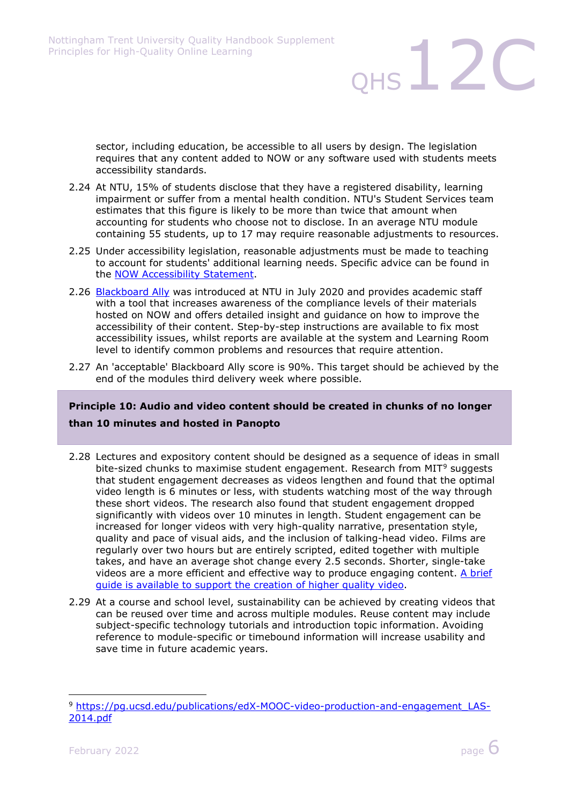sector, including education, be accessible to all users by design. The legislation requires that any content added to NOW or any software used with students meets accessibility standards.

- 2.24 At NTU, 15% of students disclose that they have a registered disability, learning impairment or suffer from a mental health condition. NTU's Student Services team estimates that this figure is likely to be more than twice that amount when accounting for students who choose not to disclose. In an average NTU module containing 55 students, up to 17 may require reasonable adjustments to resources.
- 2.25 Under accessibility legislation, reasonable adjustments must be made to teaching to account for students' additional learning needs. Specific advice can be found in the **NOW Accessibility Statement**.
- 2.26 [Blackboard Ally](https://www.blackboard.com/en-uk/teaching-learning/accessibility-universal-design/blackboard-ally-lms) was introduced at NTU in July 2020 and provides academic staff with a tool that increases awareness of the compliance levels of their materials hosted on NOW and offers detailed insight and guidance on how to improve the accessibility of their content. Step-by-step instructions are available to fix most accessibility issues, whilst reports are available at the system and Learning Room level to identify common problems and resources that require attention.
- 2.27 An 'acceptable' Blackboard Ally score is 90%. This target should be achieved by the end of the modules third delivery week where possible.

#### **Principle 10: Audio and video content should be created in chunks of no longer than 10 minutes and hosted in Panopto**

- 2.28 Lectures and expository content should be designed as a sequence of ideas in small bite-sized chunks to maximise student engagement. Research from MIT<sup>[9](#page-5-0)</sup> suggests that student engagement decreases as videos lengthen and found that the optimal video length is 6 minutes or less, with students watching most of the way through these short videos. The research also found that student engagement dropped significantly with videos over 10 minutes in length. Student engagement can be increased for longer videos with very high-quality narrative, presentation style, quality and pace of visual aids, and the inclusion of talking-head video. Films are regularly over two hours but are entirely scripted, edited together with multiple takes, and have an average shot change every 2.5 seconds. Shorter, single-take videos are a more efficient and effective way to produce engaging content. [A brief](https://sway.office.com/Jk3Fyn4d0ViFncqH?ref=Link)  [guide is available to support the creation of higher quality video.](https://sway.office.com/Jk3Fyn4d0ViFncqH?ref=Link)
- 2.29 At a course and school level, sustainability can be achieved by creating videos that can be reused over time and across multiple modules. Reuse content may include subject-specific technology tutorials and introduction topic information. Avoiding reference to module-specific or timebound information will increase usability and save time in future academic years.



12C

<span id="page-5-0"></span><sup>&</sup>lt;sup>9</sup> [https://pg.ucsd.edu/publications/edX-MOOC-video-production-and-engagement\\_LAS-](https://pg.ucsd.edu/publications/edX-MOOC-video-production-and-engagement_LAS-2014.pdf)[2014.pdf](https://pg.ucsd.edu/publications/edX-MOOC-video-production-and-engagement_LAS-2014.pdf)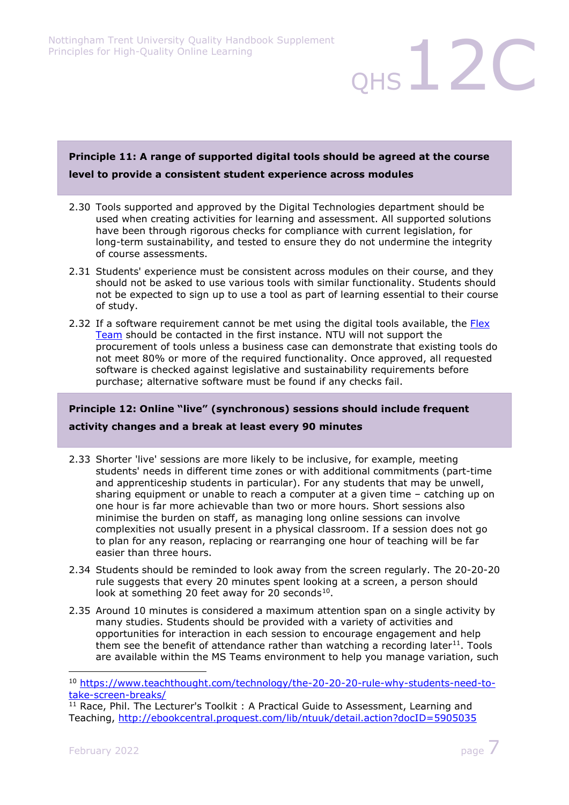#### **Principle 11: A range of supported digital tools should be agreed at the course level to provide a consistent student experience across modules**

- 2.30 Tools supported and approved by the Digital Technologies department should be used when creating activities for learning and assessment. All supported solutions have been through rigorous checks for compliance with current legislation, for long-term sustainability, and tested to ensure they do not undermine the integrity of course assessments.
- 2.31 Students' experience must be consistent across modules on their course, and they should not be asked to use various tools with similar functionality. Students should not be expected to sign up to use a tool as part of learning essential to their course of study.
- 2.32 If a software requirement cannot be met using the digital tools available, the Flex [Team](mailto:elearning@ntu.ac.uk) should be contacted in the first instance. NTU will not support the procurement of tools unless a business case can demonstrate that existing tools do not meet 80% or more of the required functionality. Once approved, all requested software is checked against legislative and sustainability requirements before purchase; alternative software must be found if any checks fail.

#### **Principle 12: Online "live" (synchronous) sessions should include frequent**

#### **activity changes and a break at least every 90 minutes**

- 2.33 Shorter 'live' sessions are more likely to be inclusive, for example, meeting students' needs in different time zones or with additional commitments (part-time and apprenticeship students in particular). For any students that may be unwell, sharing equipment or unable to reach a computer at a given time – catching up on one hour is far more achievable than two or more hours. Short sessions also minimise the burden on staff, as managing long online sessions can involve complexities not usually present in a physical classroom. If a session does not go to plan for any reason, replacing or rearranging one hour of teaching will be far easier than three hours.
- 2.34 Students should be reminded to look away from the screen regularly. The 20-20-20 rule suggests that every 20 minutes spent looking at a screen, a person should look at something 20 feet away for 20 seconds $^{10}$  $^{10}$  $^{10}$ .
- 2.35 Around 10 minutes is considered a maximum attention span on a single activity by many studies. Students should be provided with a variety of activities and opportunities for interaction in each session to encourage engagement and help them see the benefit of attendance rather than watching a recording later<sup>11</sup>. Tools are available within the MS Teams environment to help you manage variation, such

 $QHS$   $12C$ 

<span id="page-6-0"></span><sup>10</sup> [https://www.teachthought.com/technology/the-20-20-20-rule-why-students-need-to](https://www.teachthought.com/technology/the-20-20-20-rule-why-students-need-to-take-screen-breaks/)[take-screen-breaks/](https://www.teachthought.com/technology/the-20-20-20-rule-why-students-need-to-take-screen-breaks/)

<span id="page-6-1"></span><sup>&</sup>lt;sup>11</sup> Race, Phil. The Lecturer's Toolkit: A Practical Guide to Assessment, Learning and Teaching,<http://ebookcentral.proquest.com/lib/ntuuk/detail.action?docID=5905035>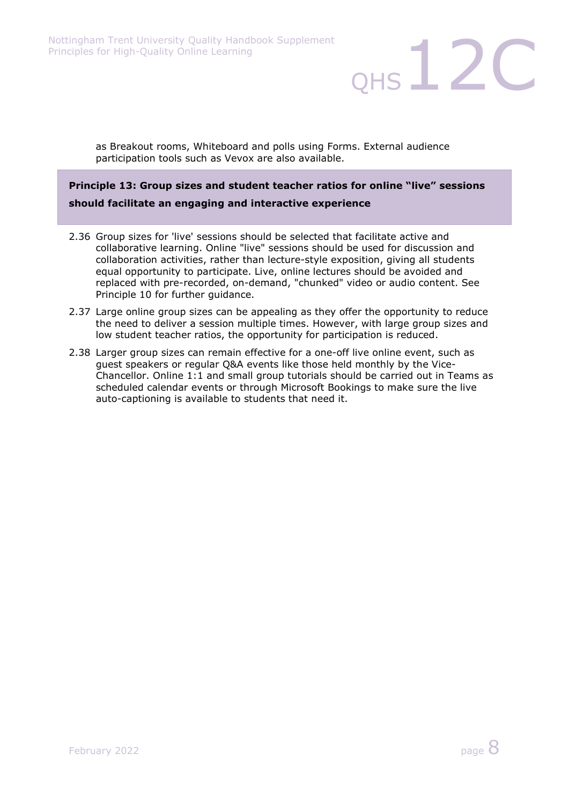as Breakout rooms, Whiteboard and polls using Forms. External audience participation tools such as Vevox are also available.

#### **Principle 13: Group sizes and student teacher ratios for online "live" sessions should facilitate an engaging and interactive experience**

- 2.36 Group sizes for 'live' sessions should be selected that facilitate active and collaborative learning. Online "live" sessions should be used for discussion and collaboration activities, rather than lecture-style exposition, giving all students equal opportunity to participate. Live, online lectures should be avoided and replaced with pre-recorded, on-demand, "chunked" video or audio content. See Principle 10 for further guidance.
- 2.37 Large online group sizes can be appealing as they offer the opportunity to reduce the need to deliver a session multiple times. However, with large group sizes and low student teacher ratios, the opportunity for participation is reduced.
- 2.38 Larger group sizes can remain effective for a one-off live online event, such as guest speakers or regular Q&A events like those held monthly by the Vice-Chancellor. Online 1:1 and small group tutorials should be carried out in Teams as scheduled calendar events or through Microsoft Bookings to make sure the live auto-captioning is available to students that need it.

 $QHS$   $12C$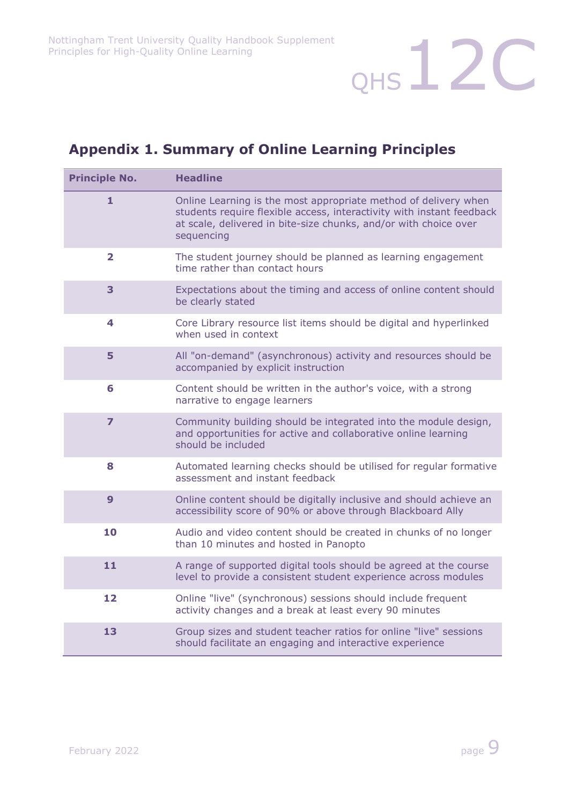## **Appendix 1. Summary of Online Learning Principles**

| <b>Principle No.</b>    | <b>Headline</b>                                                                                                                                                                                                            |
|-------------------------|----------------------------------------------------------------------------------------------------------------------------------------------------------------------------------------------------------------------------|
| 1                       | Online Learning is the most appropriate method of delivery when<br>students require flexible access, interactivity with instant feedback<br>at scale, delivered in bite-size chunks, and/or with choice over<br>sequencing |
| $\overline{\mathbf{2}}$ | The student journey should be planned as learning engagement<br>time rather than contact hours                                                                                                                             |
| 3                       | Expectations about the timing and access of online content should<br>be clearly stated                                                                                                                                     |
| 4                       | Core Library resource list items should be digital and hyperlinked<br>when used in context                                                                                                                                 |
| 5                       | All "on-demand" (asynchronous) activity and resources should be<br>accompanied by explicit instruction                                                                                                                     |
| 6                       | Content should be written in the author's voice, with a strong<br>narrative to engage learners                                                                                                                             |
| 7                       | Community building should be integrated into the module design,<br>and opportunities for active and collaborative online learning<br>should be included                                                                    |
| 8                       | Automated learning checks should be utilised for regular formative<br>assessment and instant feedback                                                                                                                      |
| 9                       | Online content should be digitally inclusive and should achieve an<br>accessibility score of 90% or above through Blackboard Ally                                                                                          |
| 10                      | Audio and video content should be created in chunks of no longer<br>than 10 minutes and hosted in Panopto                                                                                                                  |
| 11                      | A range of supported digital tools should be agreed at the course<br>level to provide a consistent student experience across modules                                                                                       |
| 12                      | Online "live" (synchronous) sessions should include frequent<br>activity changes and a break at least every 90 minutes                                                                                                     |
| 13                      | Group sizes and student teacher ratios for online "live" sessions<br>should facilitate an engaging and interactive experience                                                                                              |

QHS<sup>12C</sup>